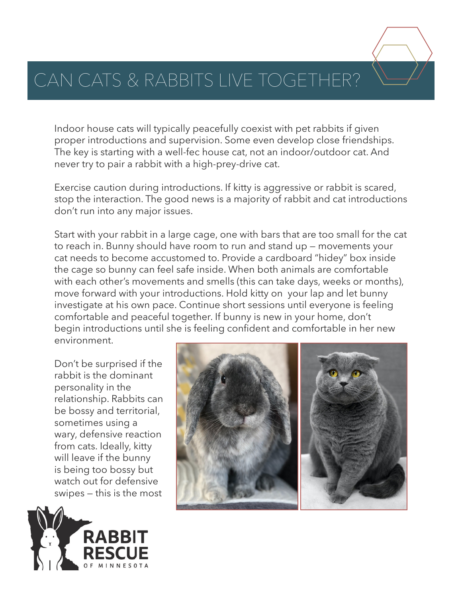## CAN CATS & RABBITS LIVE TOGETHER?

Indoor house cats will typically peacefully coexist with pet rabbits if given proper introductions and supervision. Some even develop close friendships. The key is starting with a well-fec house cat, not an indoor/outdoor cat. And never try to pair a rabbit with a high-prey-drive cat.

Exercise caution during introductions. If kitty is aggressive or rabbit is scared, stop the interaction. The good news is a majority of rabbit and cat introductions don't run into any major issues.

Start with your rabbit in a large cage, one with bars that are too small for the cat to reach in. Bunny should have room to run and stand up — movements your cat needs to become accustomed to. Provide a cardboard "hidey" box inside the cage so bunny can feel safe inside. When both animals are comfortable with each other's movements and smells (this can take days, weeks or months), move forward with your introductions. Hold kitty on your lap and let bunny investigate at his own pace. Continue short sessions until everyone is feeling comfortable and peaceful together. If bunny is new in your home, don't begin introductions until she is feeling confident and comfortable in her new environment.

Don't be surprised if the rabbit is the dominant personality in the relationship. Rabbits can be bossy and territorial, sometimes using a wary, defensive reaction from cats. Ideally, kitty will leave if the bunny is being too bossy but watch out for defensive swipes — this is the most